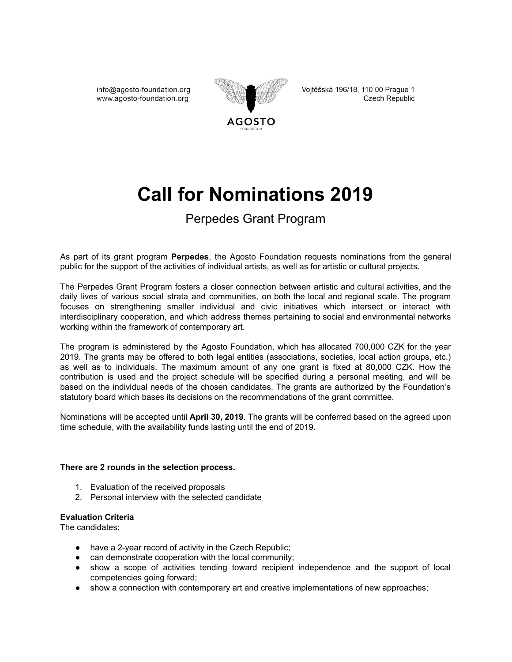info@agosto-foundation.org www.agosto-foundation.org



Vojtěšská 196/18, 110 00 Prague 1 Czech Republic

# **Call for Nominations 2019**

## Perpedes Grant Program

As part of its grant program **Perpedes**, the Agosto Foundation requests nominations from the general public for the support of the activities of individual artists, as well as for artistic or cultural projects.

The Perpedes Grant Program fosters a closer connection between artistic and cultural activities, and the daily lives of various social strata and communities, on both the local and regional scale. The program focuses on strengthening smaller individual and civic initiatives which intersect or interact with interdisciplinary cooperation, and which address themes pertaining to social and environmental networks working within the framework of contemporary art.

The program is administered by the Agosto Foundation, which has allocated 700,000 CZK for the year 2019. The grants may be offered to both legal entities (associations, societies, local action groups, etc.) as well as to individuals. The maximum amount of any one grant is fixed at 80,000 CZK. How the contribution is used and the project schedule will be specified during a personal meeting, and will be based on the individual needs of the chosen candidates. The grants are authorized by the Foundation's statutory board which bases its decisions on the recommendations of the grant committee.

Nominations will be accepted until **April 30, 2019**. The grants will be conferred based on the agreed upon time schedule, with the availability funds lasting until the end of 2019.

#### **There are 2 rounds in the selection process.**

- 1. Evaluation of the received proposals
- 2. Personal interview with the selected candidate

#### **Evaluation Criteria**

The candidates:

- have a 2-year record of activity in the Czech Republic;
- can demonstrate cooperation with the local community;
- show a scope of activities tending toward recipient independence and the support of local competencies going forward;
- show a connection with contemporary art and creative implementations of new approaches;